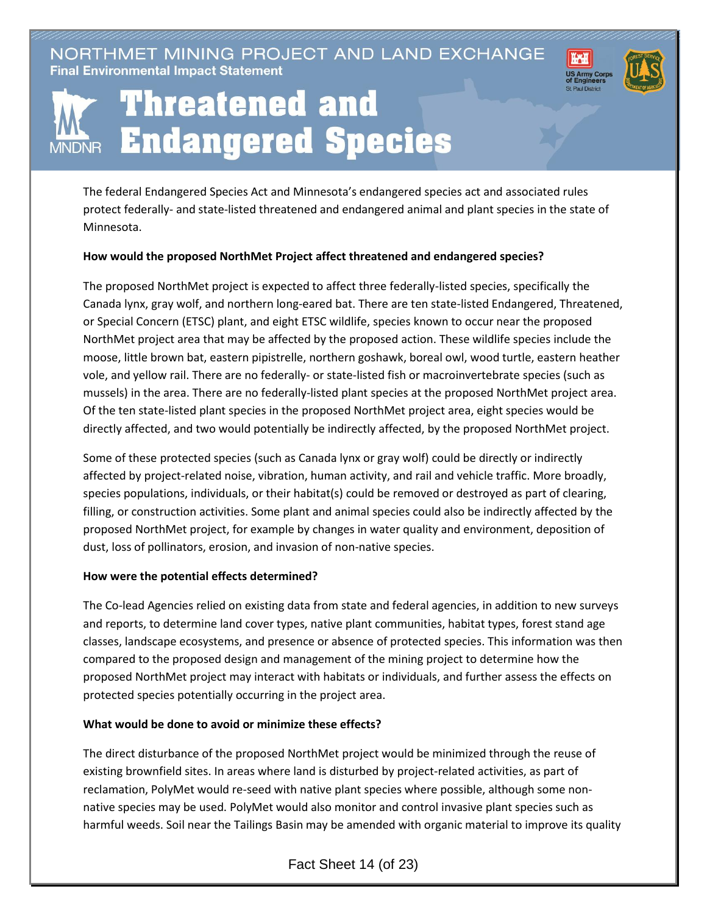NORTHMET MINING PROJECT AND LAND EXCHANGE **Final Environmental Impact Statement** 





## Threatened and **Endangered Species**

The federal Endangered Species Act and Minnesota's endangered species act and associated rules protect federally- and state-listed threatened and endangered animal and plant species in the state of Minnesota.

## **How would the proposed NorthMet Project affect threatened and endangered species?**

The proposed NorthMet project is expected to affect three federally-listed species, specifically the Canada lynx, gray wolf, and northern long-eared bat. There are ten state-listed Endangered, Threatened, or Special Concern (ETSC) plant, and eight ETSC wildlife, species known to occur near the proposed NorthMet project area that may be affected by the proposed action. These wildlife species include the moose, little brown bat, eastern pipistrelle, northern goshawk, boreal owl, wood turtle, eastern heather vole, and yellow rail. There are no federally- or state-listed fish or macroinvertebrate species (such as mussels) in the area. There are no federally-listed plant species at the proposed NorthMet project area. Of the ten state-listed plant species in the proposed NorthMet project area, eight species would be directly affected, and two would potentially be indirectly affected, by the proposed NorthMet project.

Some of these protected species (such as Canada lynx or gray wolf) could be directly or indirectly affected by project-related noise, vibration, human activity, and rail and vehicle traffic. More broadly, species populations, individuals, or their habitat(s) could be removed or destroyed as part of clearing, filling, or construction activities. Some plant and animal species could also be indirectly affected by the proposed NorthMet project, for example by changes in water quality and environment, deposition of dust, loss of pollinators, erosion, and invasion of non-native species.

## **How were the potential effects determined?**

The Co-lead Agencies relied on existing data from state and federal agencies, in addition to new surveys and reports, to determine land cover types, native plant communities, habitat types, forest stand age classes, landscape ecosystems, and presence or absence of protected species. This information was then compared to the proposed design and management of the mining project to determine how the proposed NorthMet project may interact with habitats or individuals, and further assess the effects on protected species potentially occurring in the project area.

## **What would be done to avoid or minimize these effects?**

The direct disturbance of the proposed NorthMet project would be minimized through the reuse of existing brownfield sites. In areas where land is disturbed by project-related activities, as part of reclamation, PolyMet would re-seed with native plant species where possible, although some nonnative species may be used. PolyMet would also monitor and control invasive plant species such as harmful weeds. Soil near the Tailings Basin may be amended with organic material to improve its quality